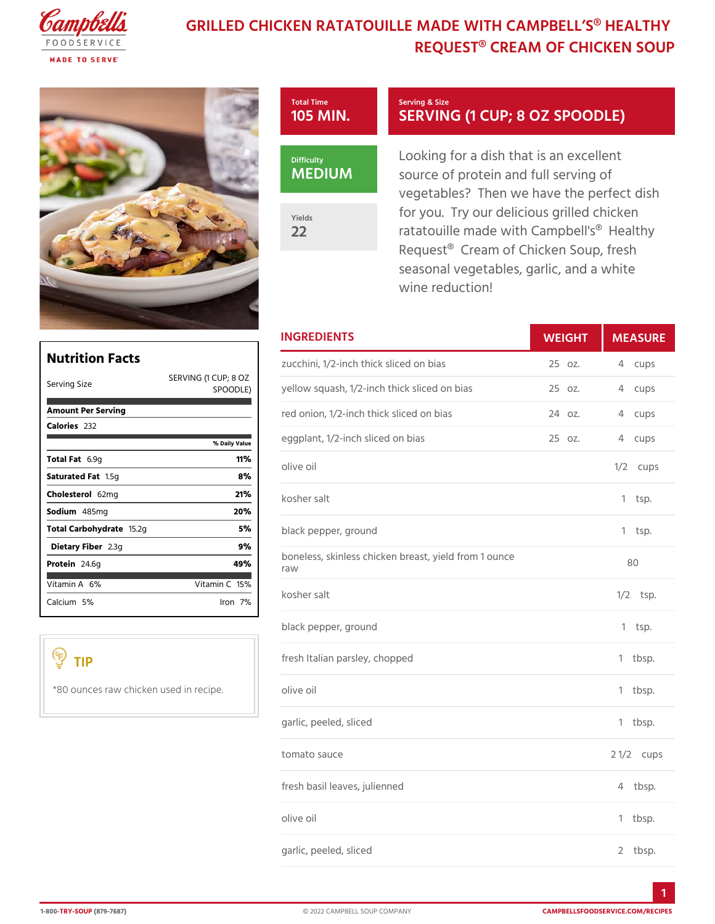## GRILLED CHICKEN RATATOUILLE MADE WITH ( REQUEST® CREAM OF CHI

## Total Time 105 MIN.

Serving & Size SERVING (1 CUP; 8 OZ

MEDIUM

Yields 22

Looking for a dish that is an ex source of protein and full servi vegetables? Then we have the for you. Try our delicious grill ratatouille made with Campbell' Request® Cream of Chicken So seasonal vegetables, garlic, an wine reduction!

|                         |                                          | <b>INGREDIENTS</b><br>WEIGH                                  | MEASU        |
|-------------------------|------------------------------------------|--------------------------------------------------------------|--------------|
| <b>Nutrition Facts</b>  |                                          | zucchini, 1/2-inch thick sliced on bias oz.                  | 4 cups       |
| Serving Size            | SERVING $(1 \text{ CUP}; -8 \text{ OZ})$ | spoopLE) yellow squash, 1/2-inch thick sliced2&nobias        | cups<br>4    |
| Amount Per Serving      |                                          | red onion, 1/2-inch thick sliced on b2i 4 soz.               | 4 cups       |
| Calorie2s32             | % Daily Value                            | eggplant, 1/2-inch sliced on bias<br>25 oz.                  | 4 cups       |
| Total F@19g             | 11%                                      | olive oil                                                    | $1/2$ cups   |
| Saturated 1F. 5 tg      | 8%                                       |                                                              |              |
| Choleste 6 @ Img        | 21%                                      | kosher salt                                                  | $1$ tsp.     |
| Sodium485mg             | 20%                                      |                                                              |              |
| Total Carbohyd5a2g      | 5 %                                      | black pepper, ground                                         | $1$ tsp.     |
| Dietary F2ib3eg         | 9%                                       |                                                              |              |
| Protei <sub>24.6g</sub> | 49%                                      | boneless, skinless chicken breast, yield from 1 punce<br>raw |              |
| Vitamin6A%<br>Calciu5m% | Vitamin16%<br>$l$ ron $7$ %              | kosher salt                                                  | $1/2$ tsp.   |
|                         |                                          | black pepper, ground                                         | $1$ tsp.     |
| TIP                     |                                          | fresh Italian parsley, chopped                               | 1 tbsp.      |
|                         | *80 ounces raw chicken used imineeipel.  |                                                              | $1$ tbsp.    |
|                         |                                          | garlic, peeled, sliced                                       | 1 tbsp.      |
|                         |                                          | tomato sauce                                                 | 2 $1/2c$ ups |
|                         |                                          | fresh basil leaves, julienned                                | 4 tbsp.      |
|                         |                                          | olive oil                                                    | $1$ tbsp.    |
|                         |                                          | garlic, peeled, sliced                                       | 2 tbsp.      |

**College** 

1-80TORY-SO (USF9-7687) © 2022 CAMPBELL SOUP COMPANY [CAMPBELLSFOODSERVICE](https://campbellsfoodservice.com/recipes).COM/R